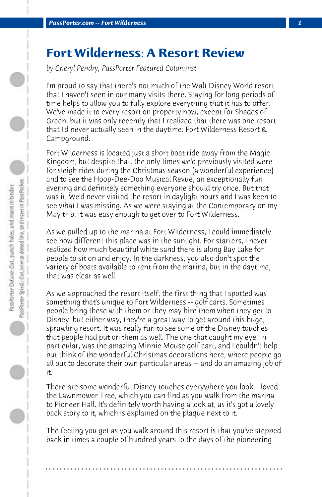## **Fort Wilderness: A Resort Review**

*by Cheryl Pendry, PassPorter Featured Columnist*

I'm proud to say that there's not much of the Walt Disney World resort that I haven't seen in our many visits there. Staying for long periods of time helps to allow you to fully explore everything that it has to offer. We've made it to every resort on property now, except for Shades of Green, but it was only recently that I realized that there was one resort that I'd never actually seen in the daytime: Fort Wilderness Resort & Campground.

Fort Wilderness is located just a short boat ride away from the Magic Kingdom, but despite that, the only times we'd previously visited were for sleigh rides during the Christmas season (a wonderful experience) and to see the Hoop-Dee-Doo Musical Revue, an exceptionally fun evening and definitely something everyone should try once. But that was it. We'd never visited the resort in daylight hours and I was keen to see what I was missing. As we were staying at the Contemporary on my May trip, it was easy enough to get over to Fort Wilderness.

As we pulled up to the marina at Fort Wilderness, I could immediately see how different this place was in the sunlight. For starters, I never realized how much beautiful white sand there is along Bay Lake for people to sit on and enjoy. In the darkness, you also don't spot the variety of boats available to rent from the marina, but in the daytime, that was clear as well.

As we approached the resort itself, the first thing that I spotted was something that's unique to Fort Wilderness -- golf carts. Sometimes people bring these with them or they may hire them when they get to Disney, but either way, they're a great way to get around this huge, sprawling resort. It was really fun to see some of the Disney touches that people had put on them as well. The one that caught my eye, in particular, was the amazing Minnie Mouse golf cart, and I couldn't help but think of the wonderful Christmas decorations here, where people go all out to decorate their own particular areas -- and do an amazing job of it.

There are some wonderful Disney touches everywhere you look. I loved the Lawnmower Tree, which you can find as you walk from the marina to Pioneer Hall. It's definitely worth having a look at, as it's got a lovely back story to it, which is explained on the plaque next to it.

The feeling you get as you walk around this resort is that you've stepped back in times a couple of hundred years to the days of the pioneering

**. . . . . . . . . . . . . . . . . . . . . . . . . . . . . . . . . . . . . . . . . . . . . . . . . . . . . . . . . . . . . . . . . .**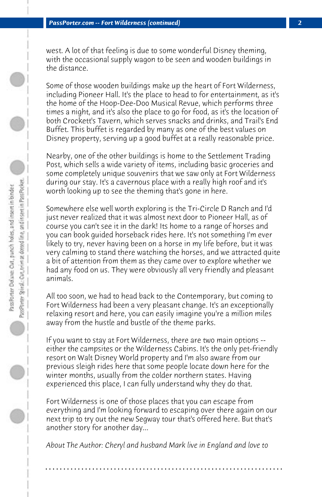west. A lot of that feeling is due to some wonderful Disney theming, with the occasional supply wagon to be seen and wooden buildings in the distance.

Some of those wooden buildings make up the heart of Fort Wilderness, including Pioneer Hall. It's the place to head to for entertainment, as it's the home of the Hoop-Dee-Doo Musical Revue, which performs three times a night, and it's also the place to go for food, as it's the location of both Crockett's Tavern, which serves snacks and drinks, and Trail's End Buffet. This buffet is regarded by many as one of the best values on Disney property, serving up a good buffet at a really reasonable price.

Nearby, one of the other buildings is home to the Settlement Trading Post, which sells a wide variety of items, including basic groceries and some completely unique souvenirs that we saw only at Fort Wilderness during our stay. It's a cavernous place with a really high roof and it's worth looking up to see the theming that's gone in here.

Somewhere else well worth exploring is the Tri-Circle D Ranch and I'd just never realized that it was almost next door to Pioneer Hall, as of course you can't see it in the dark! Its home to a range of horses and you can book guided horseback rides here. It's not something I'm ever likely to try, never having been on a horse in my life before, but it was very calming to stand there watching the horses, and we attracted quite a bit of attention from them as they came over to explore whether we had any food on us. They were obviously all very friendly and pleasant animals.

All too soon, we had to head back to the Contemporary, but coming to Fort Wilderness had been a very pleasant change. It's an exceptionally relaxing resort and here, you can easily imagine you're a million miles away from the hustle and bustle of the theme parks.

If you want to stay at Fort Wilderness, there are two main options - either the campsites or the Wilderness Cabins. It's the only pet-friendly resort on Walt Disney World property and I'm also aware from our previous sleigh rides here that some people locate down here for the winter months, usually from the colder northern states. Having experienced this place, I can fully understand why they do that.

Fort Wilderness is one of those places that you can escape from everything and I'm looking forward to escaping over there again on our next trip to try out the new Segway tour that's offered here. But that's another story for another day...

*About The Author: Cheryl and husband Mark live in England and love to*

**. . . . . . . . . . . . . . . . . . . . . . . . . . . . . . . . . . . . . . . . . . . . . . . . . . . . . . . . . . . . . . . . . .**